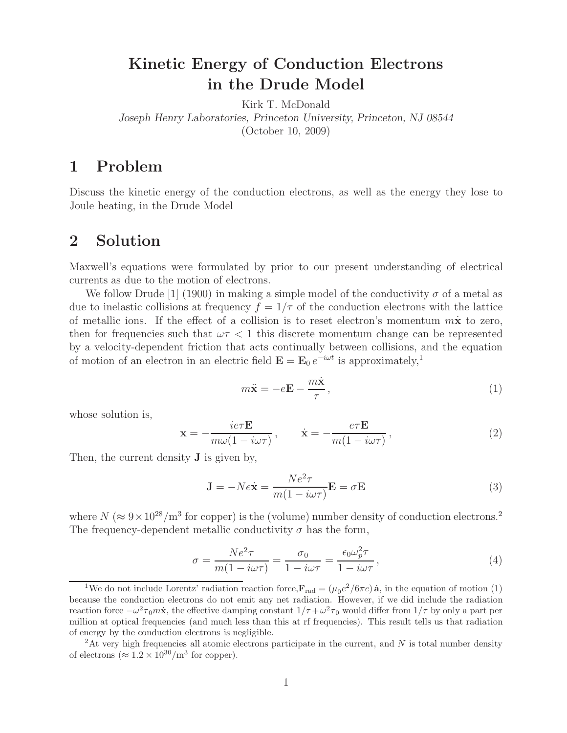## **Kinetic Energy of Conduction Electrons in the Drude Model**

Kirk T. McDonald *Joseph Henry Laboratories, Princeton University, Princeton, NJ 08544* (October 10, 2009)

## **1 Problem**

Discuss the kinetic energy of the conduction electrons, as well as the energy they lose to Joule heating, in the Drude Model

## **2 Solution**

Maxwell's equations were formulated by prior to our present understanding of electrical currents as due to the motion of electrons.

We follow Drude [1] (1900) in making a simple model of the conductivity  $\sigma$  of a metal as due to inelastic collisions at frequency  $f = 1/\tau$  of the conduction electrons with the lattice of metallic ions. If the effect of a collision is to reset electron's momentum m**x**˙ to zero, then for frequencies such that  $\omega \tau < 1$  this discrete momentum change can be represented by a velocity-dependent friction that acts continually between collisions, and the equation of motion of an electron in an electric field  $\mathbf{E} = \mathbf{E}_0 e^{-i\omega t}$  is approximately,<sup>1</sup>

$$
m\ddot{\mathbf{x}} = -e\mathbf{E} - \frac{m\dot{\mathbf{x}}}{\tau},\tag{1}
$$

whose solution is,

$$
\mathbf{x} = -\frac{ie\tau \mathbf{E}}{m\omega(1 - i\omega\tau)}, \qquad \dot{\mathbf{x}} = -\frac{e\tau \mathbf{E}}{m(1 - i\omega\tau)},
$$
(2)

Then, the current density **J** is given by,

$$
\mathbf{J} = -Ne\dot{\mathbf{x}} = \frac{Ne^2\tau}{m(1 - i\omega\tau)}\mathbf{E} = \sigma\mathbf{E}
$$
 (3)

where  $N (\approx 9 \times 10^{28}/\text{m}^3$  for copper) is the (volume) number density of conduction electrons.<sup>2</sup> The frequency-dependent metallic conductivity  $\sigma$  has the form,

$$
\sigma = \frac{Ne^2 \tau}{m(1 - i\omega \tau)} = \frac{\sigma_0}{1 - i\omega \tau} = \frac{\epsilon_0 \omega_p^2 \tau}{1 - i\omega \tau},
$$
\n(4)

<sup>&</sup>lt;sup>1</sup>We do not include Lorentz' radiation reaction force, $\mathbf{F}_{rad} = (\mu_0 e^2/6\pi c)\,\dot{\mathbf{a}}$ , in the equation of motion (1) because the conduction electrons do not emit any net radiation. However, if we did include the radiation reaction force  $-\omega^2\tau_0m\dot{x}$ , the effective damping constant  $1/\tau+\omega^2\tau_0$  would differ from  $1/\tau$  by only a part per million at optical frequencies (and much less than this at rf frequencies). This result tells us that radiation of energy by the conduction electrons is negligible.

<sup>&</sup>lt;sup>2</sup>At very high frequencies all atomic electrons participate in the current, and N is total number density of electrons ( $\approx 1.2 \times 10^{30}$ /m<sup>3</sup> for copper).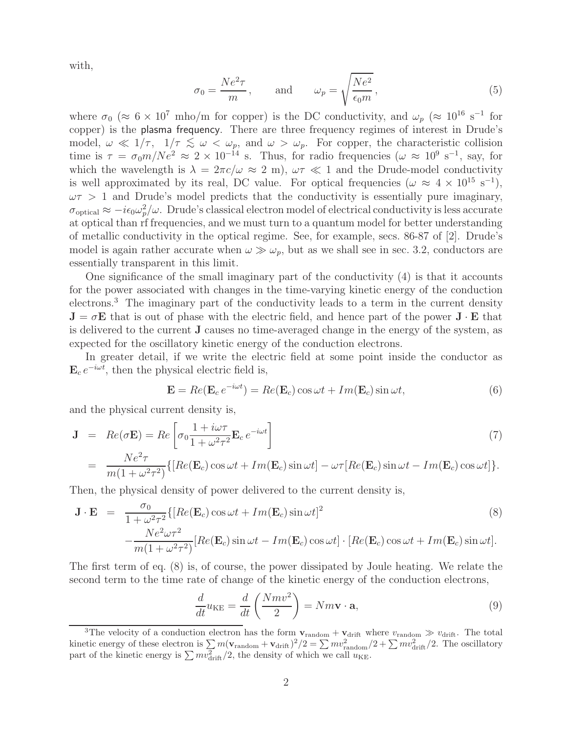with,

$$
\sigma_0 = \frac{Ne^2 \tau}{m}, \quad \text{and} \quad \omega_p = \sqrt{\frac{Ne^2}{\epsilon_0 m}}, \tag{5}
$$

where  $\sigma_0$  ( $\approx 6 \times 10^7$  mho/m for copper) is the DC conductivity, and  $\omega_p$  ( $\approx 10^{16}$  s<sup>-1</sup> for copper) is the plasma frequency. There are three frequency regimes of interest in Drude's model,  $\omega \ll 1/\tau$ ,  $1/\tau \lesssim \omega < \omega_p$ , and  $\omega > \omega_p$ . For copper, the characteristic collision time is  $\tau = \sigma_0 m/Ne^2 \approx 2 \times 10^{-14}$  s. Thus, for radio frequencies ( $\omega \approx 10^9$  s<sup>-1</sup>, say, for which the wavelength is  $\lambda = 2\pi c/\omega \approx 2 \text{ m}$ ,  $\omega \tau \ll 1$  and the Drude-model conductivity is well approximated by its real, DC value. For optical frequencies ( $\omega \approx 4 \times 10^{15} \text{ s}^{-1}$ ),  $\omega \tau > 1$  and Drude's model predicts that the conductivity is essentially pure imaginary,  $\sigma_{\text{optical}} \approx -i\epsilon_0\omega_p^2/\omega$ . Drude's classical electron model of electrical conductivity is less accurate at optical than rf frequencies, and we must turn to a quantum model for better understanding of metallic conductivity in the optical regime. See, for example, secs. 86-87 of [2]. Drude's model is again rather accurate when  $\omega \gg \omega_p$ , but as we shall see in sec. 3.2, conductors are essentially transparent in this limit.

One significance of the small imaginary part of the conductivity (4) is that it accounts for the power associated with changes in the time-varying kinetic energy of the conduction electrons.<sup>3</sup> The imaginary part of the conductivity leads to a term in the current density  $J = \sigma E$  that is out of phase with the electric field, and hence part of the power  $J \cdot E$  that is delivered to the current **J** causes no time-averaged change in the energy of the system, as expected for the oscillatory kinetic energy of the conduction electrons.

In greater detail, if we write the electric field at some point inside the conductor as  $\mathbf{E}_c e^{-i\omega t}$ , then the physical electric field is,

$$
\mathbf{E} = Re(\mathbf{E}_c e^{-i\omega t}) = Re(\mathbf{E}_c) \cos \omega t + Im(\mathbf{E}_c) \sin \omega t,
$$
\n(6)

and the physical current density is,

$$
\mathbf{J} = Re(\sigma \mathbf{E}) = Re \left[ \sigma_0 \frac{1 + i\omega \tau}{1 + \omega^2 \tau^2} \mathbf{E}_c e^{-i\omega t} \right]
$$
(7)  
= 
$$
\frac{Ne^2 \tau}{m(1 + \omega^2 \tau^2)} \{ [Re(\mathbf{E}_c) \cos \omega t + Im(\mathbf{E}_c) \sin \omega t] - \omega \tau [Re(\mathbf{E}_c) \sin \omega t - Im(\mathbf{E}_c) \cos \omega t] \}.
$$

Then, the physical density of power delivered to the current density is,

$$
\mathbf{J} \cdot \mathbf{E} = \frac{\sigma_0}{1 + \omega^2 \tau^2} \{ [Re(\mathbf{E}_c) \cos \omega t + Im(\mathbf{E}_c) \sin \omega t]^2 - \frac{Ne^2 \omega \tau^2}{m(1 + \omega^2 \tau^2)} [Re(\mathbf{E}_c) \sin \omega t - Im(\mathbf{E}_c) \cos \omega t] \cdot [Re(\mathbf{E}_c) \cos \omega t + Im(\mathbf{E}_c) \sin \omega t].
$$
\n(8)

The first term of eq. (8) is, of course, the power dissipated by Joule heating. We relate the second term to the time rate of change of the kinetic energy of the conduction electrons,

$$
\frac{d}{dt}u_{KE} = \frac{d}{dt}\left(\frac{Nmv^2}{2}\right) = Nm\mathbf{v}\cdot\mathbf{a},\tag{9}
$$

<sup>&</sup>lt;sup>3</sup>The velocity of a conduction electron has the form  $\mathbf{v}_{random} + \mathbf{v}_{drift}$  where  $v_{random} \gg v_{drift}$ . The total kinetic energy of these electron is  $\sum m(\mathbf{v}_{\text{random}} + \mathbf{v}_{\text{drift}})^2/2 = \sum m v_{\text{random}}^2/2 + \sum m v_{\text{drift}}^2/2$ . The oscillatory part of the kinetic energy is  $\sum mv_{\rm drift}^2/2$ , the density of which we call  $u_{\rm KE}$ .